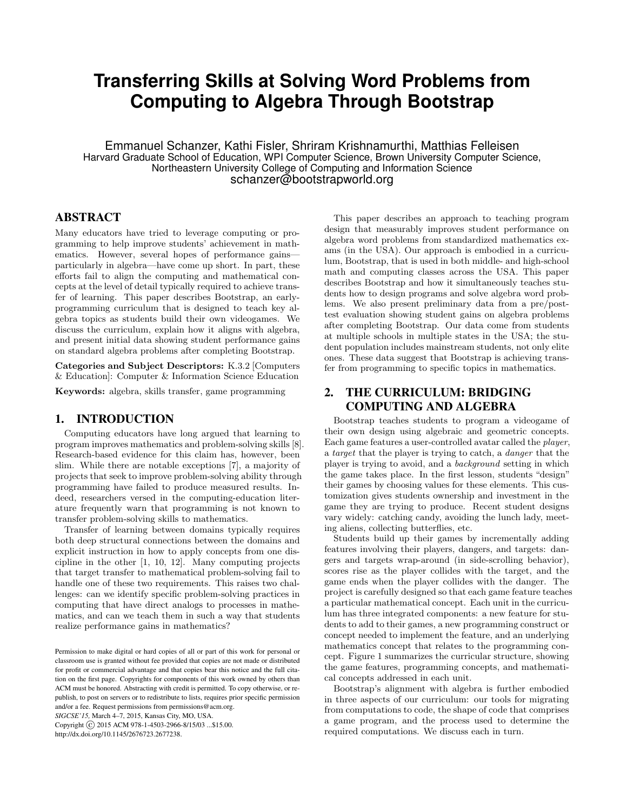# **Transferring Skills at Solving Word Problems from Computing to Algebra Through Bootstrap**

Emmanuel Schanzer, Kathi Fisler, Shriram Krishnamurthi, Matthias Felleisen Harvard Graduate School of Education, WPI Computer Science, Brown University Computer Science, Northeastern University College of Computing and Information Science schanzer@bootstrapworld.org

## ABSTRACT

Many educators have tried to leverage computing or programming to help improve students' achievement in mathematics. However, several hopes of performance gains particularly in algebra—have come up short. In part, these efforts fail to align the computing and mathematical concepts at the level of detail typically required to achieve transfer of learning. This paper describes Bootstrap, an earlyprogramming curriculum that is designed to teach key algebra topics as students build their own videogames. We discuss the curriculum, explain how it aligns with algebra, and present initial data showing student performance gains on standard algebra problems after completing Bootstrap.

Categories and Subject Descriptors: K.3.2 [Computers & Education]: Computer & Information Science Education

Keywords: algebra, skills transfer, game programming

#### 1. INTRODUCTION

Computing educators have long argued that learning to program improves mathematics and problem-solving skills [8]. Research-based evidence for this claim has, however, been slim. While there are notable exceptions [7], a majority of projects that seek to improve problem-solving ability through programming have failed to produce measured results. Indeed, researchers versed in the computing-education literature frequently warn that programming is not known to transfer problem-solving skills to mathematics.

Transfer of learning between domains typically requires both deep structural connections between the domains and explicit instruction in how to apply concepts from one discipline in the other [1, 10, 12]. Many computing projects that target transfer to mathematical problem-solving fail to handle one of these two requirements. This raises two challenges: can we identify specific problem-solving practices in computing that have direct analogs to processes in mathematics, and can we teach them in such a way that students realize performance gains in mathematics?

*SIGCSE'15,* March 4–7, 2015, Kansas City, MO, USA.

Copyright (C) 2015 ACM 978-1-4503-2966-8/15/03 ... \$15.00. http://dx.doi.org/10.1145/2676723.2677238.

This paper describes an approach to teaching program design that measurably improves student performance on algebra word problems from standardized mathematics exams (in the USA). Our approach is embodied in a curriculum, Bootstrap, that is used in both middle- and high-school math and computing classes across the USA. This paper describes Bootstrap and how it simultaneously teaches students how to design programs and solve algebra word problems. We also present preliminary data from a pre/posttest evaluation showing student gains on algebra problems after completing Bootstrap. Our data come from students at multiple schools in multiple states in the USA; the student population includes mainstream students, not only elite ones. These data suggest that Bootstrap is achieving transfer from programming to specific topics in mathematics.

# 2. THE CURRICULUM: BRIDGING COMPUTING AND ALGEBRA

Bootstrap teaches students to program a videogame of their own design using algebraic and geometric concepts. Each game features a user-controlled avatar called the player, a target that the player is trying to catch, a danger that the player is trying to avoid, and a background setting in which the game takes place. In the first lesson, students "design" their games by choosing values for these elements. This customization gives students ownership and investment in the game they are trying to produce. Recent student designs vary widely: catching candy, avoiding the lunch lady, meeting aliens, collecting butterflies, etc.

Students build up their games by incrementally adding features involving their players, dangers, and targets: dangers and targets wrap-around (in side-scrolling behavior), scores rise as the player collides with the target, and the game ends when the player collides with the danger. The project is carefully designed so that each game feature teaches a particular mathematical concept. Each unit in the curriculum has three integrated components: a new feature for students to add to their games, a new programming construct or concept needed to implement the feature, and an underlying mathematics concept that relates to the programming concept. Figure 1 summarizes the curricular structure, showing the game features, programming concepts, and mathematical concepts addressed in each unit.

Bootstrap's alignment with algebra is further embodied in three aspects of our curriculum: our tools for migrating from computations to code, the shape of code that comprises a game program, and the process used to determine the required computations. We discuss each in turn.

Permission to make digital or hard copies of all or part of this work for personal or classroom use is granted without fee provided that copies are not made or distributed for profit or commercial advantage and that copies bear this notice and the full citation on the first page. Copyrights for components of this work owned by others than ACM must be honored. Abstracting with credit is permitted. To copy otherwise, or republish, to post on servers or to redistribute to lists, requires prior specific permission and/or a fee. Request permissions from permissions@acm.org.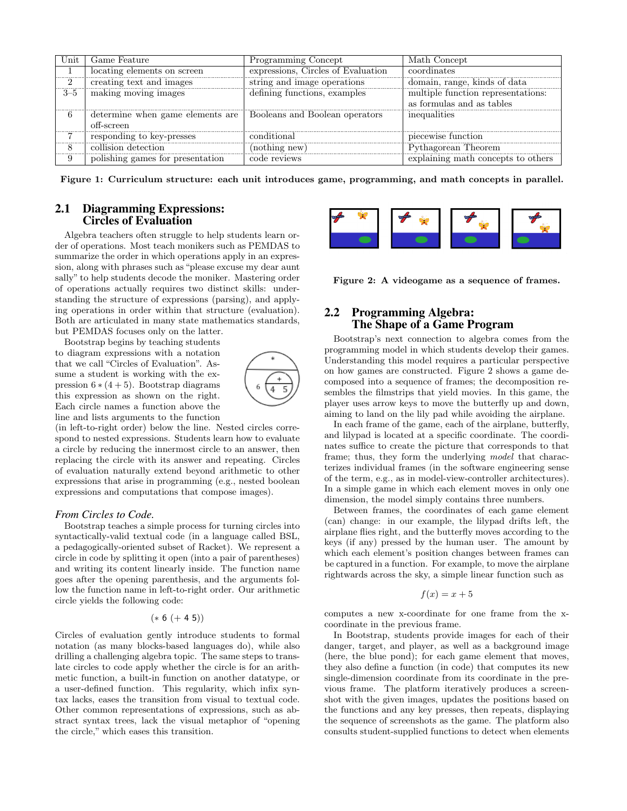| Unit                 | Game Feature                                   | Programming Concept                | Math Concept                                                    |
|----------------------|------------------------------------------------|------------------------------------|-----------------------------------------------------------------|
|                      | locating elements on screen                    | expressions, Circles of Evaluation | coordinates                                                     |
| $\ddot{\phantom{0}}$ | creating text and images                       | string and image operations        | domain, range, kinds of data                                    |
| $-3-5$               | making moving images                           | defining functions, examples       | multiple function representations:<br>as formulas and as tables |
| 6                    | determine when game elements are<br>off-screen | Booleans and Boolean operators     | inequalities                                                    |
|                      | responding to key-presses                      | conditional                        | piecewise function                                              |
|                      | collision detection                            | (nothing new)                      | Pythagorean Theorem                                             |
|                      | polishing games for presentation               | code reviews                       | explaining math concepts to others                              |

Figure 1: Curriculum structure: each unit introduces game, programming, and math concepts in parallel.

### 2.1 Diagramming Expressions: Circles of Evaluation

Algebra teachers often struggle to help students learn order of operations. Most teach monikers such as PEMDAS to summarize the order in which operations apply in an expression, along with phrases such as "please excuse my dear aunt sally" to help students decode the moniker. Mastering order of operations actually requires two distinct skills: understanding the structure of expressions (parsing), and applying operations in order within that structure (evaluation). Both are articulated in many state mathematics standards, but PEMDAS focuses only on the latter.

Bootstrap begins by teaching students to diagram expressions with a notation that we call "Circles of Evaluation". Assume a student is working with the expression  $6*(4+5)$ . Bootstrap diagrams this expression as shown on the right. Each circle names a function above the line and lists arguments to the function



(in left-to-right order) below the line. Nested circles correspond to nested expressions. Students learn how to evaluate a circle by reducing the innermost circle to an answer, then replacing the circle with its answer and repeating. Circles of evaluation naturally extend beyond arithmetic to other expressions that arise in programming (e.g., nested boolean expressions and computations that compose images).

#### *From Circles to Code.*

Bootstrap teaches a simple process for turning circles into syntactically-valid textual code (in a language called BSL, a pedagogically-oriented subset of Racket). We represent a circle in code by splitting it open (into a pair of parentheses) and writing its content linearly inside. The function name goes after the opening parenthesis, and the arguments follow the function name in left-to-right order. Our arithmetic circle yields the following code:

#### $(* 6 (+ 4 5))$

Circles of evaluation gently introduce students to formal notation (as many blocks-based languages do), while also drilling a challenging algebra topic. The same steps to translate circles to code apply whether the circle is for an arithmetic function, a built-in function on another datatype, or a user-defined function. This regularity, which infix syntax lacks, eases the transition from visual to textual code. Other common representations of expressions, such as abstract syntax trees, lack the visual metaphor of "opening the circle," which eases this transition.



Figure 2: A videogame as a sequence of frames.

## 2.2 Programming Algebra: The Shape of a Game Program

Bootstrap's next connection to algebra comes from the programming model in which students develop their games. Understanding this model requires a particular perspective on how games are constructed. Figure 2 shows a game decomposed into a sequence of frames; the decomposition resembles the filmstrips that yield movies. In this game, the player uses arrow keys to move the butterfly up and down, aiming to land on the lily pad while avoiding the airplane.

In each frame of the game, each of the airplane, butterfly, and lilypad is located at a specific coordinate. The coordinates suffice to create the picture that corresponds to that frame; thus, they form the underlying model that characterizes individual frames (in the software engineering sense of the term, e.g., as in model-view-controller architectures). In a simple game in which each element moves in only one dimension, the model simply contains three numbers.

Between frames, the coordinates of each game element (can) change: in our example, the lilypad drifts left, the airplane flies right, and the butterfly moves according to the keys (if any) pressed by the human user. The amount by which each element's position changes between frames can be captured in a function. For example, to move the airplane rightwards across the sky, a simple linear function such as

$$
f(x) = x + 5
$$

computes a new x-coordinate for one frame from the xcoordinate in the previous frame.

In Bootstrap, students provide images for each of their danger, target, and player, as well as a background image (here, the blue pond); for each game element that moves, they also define a function (in code) that computes its new single-dimension coordinate from its coordinate in the previous frame. The platform iteratively produces a screenshot with the given images, updates the positions based on the functions and any key presses, then repeats, displaying the sequence of screenshots as the game. The platform also consults student-supplied functions to detect when elements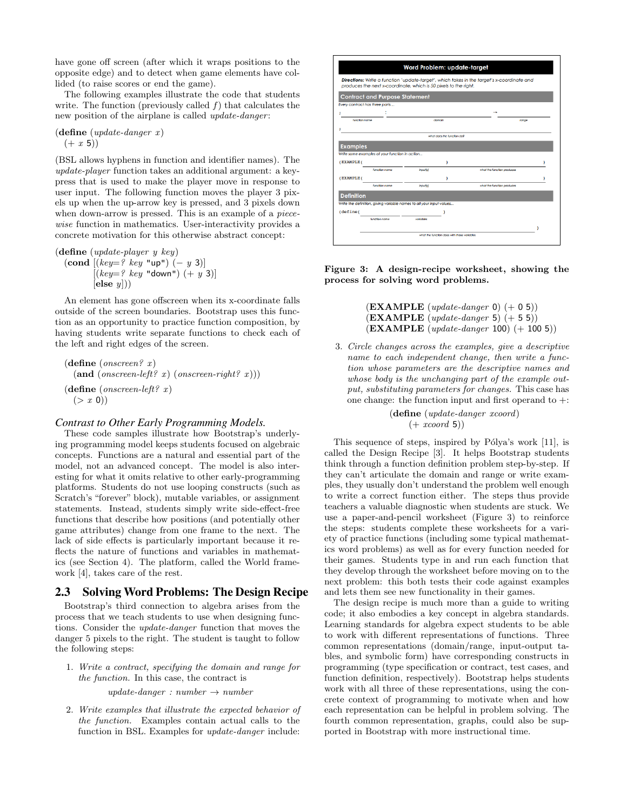have gone off screen (after which it wraps positions to the opposite edge) and to detect when game elements have collided (to raise scores or end the game).

The following examples illustrate the code that students write. The function (previously called  $f$ ) that calculates the new position of the airplane is called *update-danger*:

$$
\begin{array}{c}(\textbf{define }(\textit{update-danger }x)\\(\text{+ }x\text{ 5}))\end{array}
$$

(BSL allows hyphens in function and identifier names). The update-player function takes an additional argument: a keypress that is used to make the player move in response to user input. The following function moves the player 3 pixels up when the up-arrow key is pressed, and 3 pixels down when down-arrow is pressed. This is an example of a *piece*wise function in mathematics. User-interactivity provides a concrete motivation for this otherwise abstract concept:

```
(define (update-player y key)
```
(cond  $[(key=? key "up") (- y 3)]$  $[(key=? key "down") (+ y 3)]$  $\left[$ else  $y\right]$ )

An element has gone offscreen when its x-coordinate falls outside of the screen boundaries. Bootstrap uses this function as an opportunity to practice function composition, by having students write separate functions to check each of the left and right edges of the screen.

```
(\text{define} (onscreen? x)(and (onscreen-left? x) (onscreen-right? x)))(define (onscreen-left? x)
(> x 0)
```
## *Contrast to Other Early Programming Models.*

These code samples illustrate how Bootstrap's underlying programming model keeps students focused on algebraic concepts. Functions are a natural and essential part of the model, not an advanced concept. The model is also interesting for what it omits relative to other early-programming platforms. Students do not use looping constructs (such as Scratch's "forever" block), mutable variables, or assignment statements. Instead, students simply write side-effect-free functions that describe how positions (and potentially other game attributes) change from one frame to the next. The lack of side effects is particularly important because it reflects the nature of functions and variables in mathematics (see Section 4). The platform, called the World framework [4], takes care of the rest.

#### 2.3 Solving Word Problems: The Design Recipe

Bootstrap's third connection to algebra arises from the process that we teach students to use when designing functions. Consider the update-danger function that moves the danger 5 pixels to the right. The student is taught to follow the following steps:

1. Write a contract, specifying the domain and range for the function. In this case, the contract is

 $update-danger: number \rightarrow number$ 

2. Write examples that illustrate the expected behavior of the function. Examples contain actual calls to the function in BSL. Examples for update-danger include:



Figure 3: A design-recipe worksheet, showing the process for solving word problems.

```
(EXAMPLE (update-danger 0) (+ 0 5))(EXAMPLE (update-danger 5) (+ 5 5))(EXAMPLE (update-danger 100) (+ 100 5))
```
3. Circle changes across the examples, give a descriptive name to each independent change, then write a function whose parameters are the descriptive names and whose body is the unchanging part of the example output, substituting parameters for changes. This case has one change: the function input and first operand to +:

> (define (update-danger xcoord)  $(+ \text{xcoord } 5))$

This sequence of steps, inspired by Pólya's work [11], is called the Design Recipe [3]. It helps Bootstrap students think through a function definition problem step-by-step. If they can't articulate the domain and range or write examples, they usually don't understand the problem well enough to write a correct function either. The steps thus provide teachers a valuable diagnostic when students are stuck. We use a paper-and-pencil worksheet (Figure 3) to reinforce the steps: students complete these worksheets for a variety of practice functions (including some typical mathematics word problems) as well as for every function needed for their games. Students type in and run each function that they develop through the worksheet before moving on to the next problem: this both tests their code against examples and lets them see new functionality in their games.

The design recipe is much more than a guide to writing code; it also embodies a key concept in algebra standards. Learning standards for algebra expect students to be able to work with different representations of functions. Three common representations (domain/range, input-output tables, and symbolic form) have corresponding constructs in programming (type specification or contract, test cases, and function definition, respectively). Bootstrap helps students work with all three of these representations, using the concrete context of programming to motivate when and how each representation can be helpful in problem solving. The fourth common representation, graphs, could also be supported in Bootstrap with more instructional time.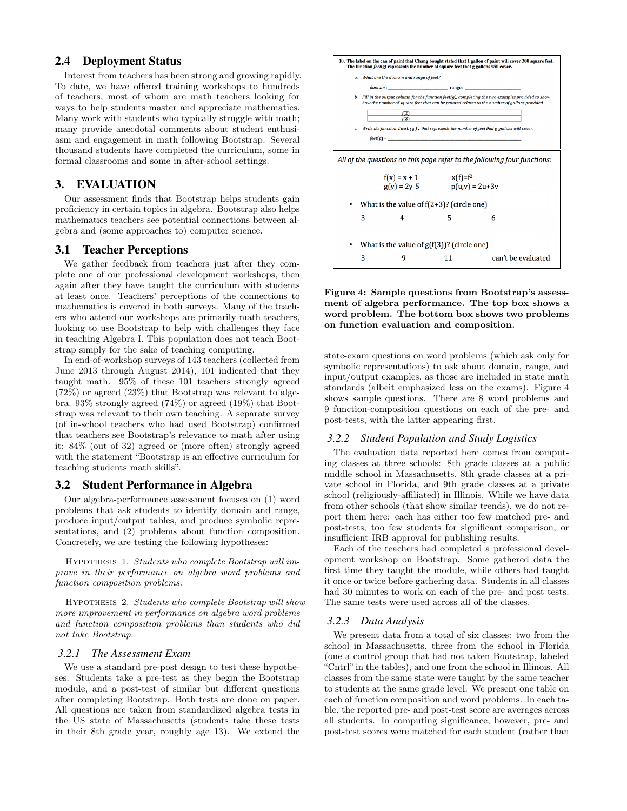## 2.4 Deployment Status

Interest from teachers has been strong and growing rapidly. To date, we have offered training workshops to hundreds of teachers, most of whom are math teachers looking for ways to help students master and appreciate mathematics. Many work with students who typically struggle with math; many provide anecdotal comments about student enthusiasm and engagement in math following Bootstrap. Several thousand students have completed the curriculum, some in formal classrooms and some in after-school settings.

### 3. EVALUATION

Our assessment finds that Bootstrap helps students gain proficiency in certain topics in algebra. Bootstrap also helps mathematics teachers see potential connections between algebra and (some approaches to) computer science.

#### 3.1 Teacher Perceptions

We gather feedback from teachers just after they complete one of our professional development workshops, then again after they have taught the curriculum with students at least once. Teachers' perceptions of the connections to mathematics is covered in both surveys. Many of the teachers who attend our workshops are primarily math teachers, looking to use Bootstrap to help with challenges they face in teaching Algebra I. This population does not teach Bootstrap simply for the sake of teaching computing.

In end-of-workshop surveys of 143 teachers (collected from June 2013 through August 2014), 101 indicated that they taught math. 95% of these 101 teachers strongly agreed (72%) or agreed (23%) that Bootstrap was relevant to algebra. 93% strongly agreed (74%) or agreed (19%) that Bootstrap was relevant to their own teaching. A separate survey (of in-school teachers who had used Bootstrap) confirmed that teachers see Bootstrap's relevance to math after using it: 84% (out of 32) agreed or (more often) strongly agreed with the statement "Bootstrap is an effective curriculum for teaching students math skills".

#### 3.2 Student Performance in Algebra

Our algebra-performance assessment focuses on (1) word problems that ask students to identify domain and range, produce input/output tables, and produce symbolic representations, and (2) problems about function composition. Concretely, we are testing the following hypotheses:

Hypothesis 1. Students who complete Bootstrap will improve in their performance on algebra word problems and function composition problems.

Hypothesis 2. Students who complete Bootstrap will show more improvement in performance on algebra word problems and function composition problems than students who did not take Bootstrap.

#### *3.2.1 The Assessment Exam*

We use a standard pre-post design to test these hypotheses. Students take a pre-test as they begin the Bootstrap module, and a post-test of similar but different questions after completing Bootstrap. Both tests are done on paper. All questions are taken from standardized algebra tests in the US state of Massachusetts (students take these tests in their 8th grade year, roughly age 13). We extend the



Figure 4: Sample questions from Bootstrap's assessment of algebra performance. The top box shows a word problem. The bottom box shows two problems on function evaluation and composition.

state-exam questions on word problems (which ask only for symbolic representations) to ask about domain, range, and input/output examples, as those are included in state math standards (albeit emphasized less on the exams). Figure 4 shows sample questions. There are 8 word problems and 9 function-composition questions on each of the pre- and post-tests, with the latter appearing first.

#### *3.2.2 Student Population and Study Logistics*

The evaluation data reported here comes from computing classes at three schools: 8th grade classes at a public middle school in Massachusetts, 8th grade classes at a private school in Florida, and 9th grade classes at a private school (religiously-affiliated) in Illinois. While we have data from other schools (that show similar trends), we do not report them here: each has either too few matched pre- and post-tests, too few students for significant comparison, or insufficient IRB approval for publishing results.

Each of the teachers had completed a professional development workshop on Bootstrap. Some gathered data the first time they taught the module, while others had taught it once or twice before gathering data. Students in all classes had 30 minutes to work on each of the pre- and post tests. The same tests were used across all of the classes.

#### *3.2.3 Data Analysis*

We present data from a total of six classes: two from the school in Massachusetts, three from the school in Florida (one a control group that had not taken Bootstrap, labeled "Cntrl"in the tables), and one from the school in Illinois. All classes from the same state were taught by the same teacher to students at the same grade level. We present one table on each of function composition and word problems. In each table, the reported pre- and post-test score are averages across all students. In computing significance, however, pre- and post-test scores were matched for each student (rather than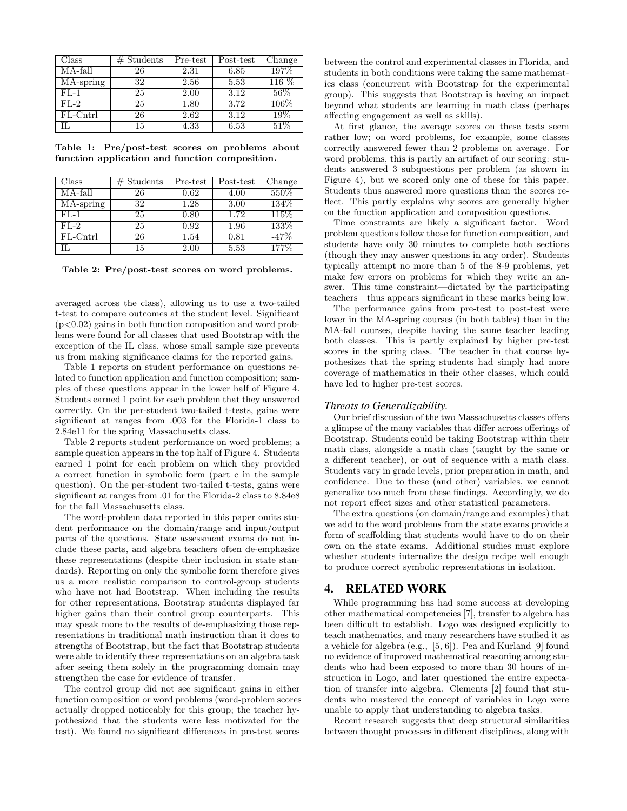| Class     | $#$ Students | Pre-test | Post-test | Change  |
|-----------|--------------|----------|-----------|---------|
| MA-fall   | 26           | 2.31     | 6.85      | 197%    |
| MA-spring | 32           | 2.56     | 5.53      | $116\%$ |
| $FL-1$    | 25           | 2.00     | 3.12      | 56\%    |
| $FL-2$    | 25           | 1.80     | 3.72      | 106%    |
| FL-Cntrl  | 26           | 2.62     | 3.12      | 19%     |
|           | 15           | 4.33     | 6.53      | 51\%    |

Table 1: Pre/post-test scores on problems about function application and function composition.

| Class     | $#$ Students | Pre-test | Post-test | Change |
|-----------|--------------|----------|-----------|--------|
| MA-fall   | 26           | 0.62     | 4.00      | 550%   |
| MA-spring | 32           | 1.28     | 3.00      | 134%   |
| $FI-1$    | 25           | 0.80     | 1.72      | 115\%  |
| $FL-2$    | 25           | 0.92     | 1.96      | 133%   |
| FL-Cntrl  | 26           | 1.54     | 0.81      | $-47%$ |
|           | 15           | 2.00     | 5.53      | 177%   |

Table 2: Pre/post-test scores on word problems.

averaged across the class), allowing us to use a two-tailed t-test to compare outcomes at the student level. Significant  $(p<0.02)$  gains in both function composition and word problems were found for all classes that used Bootstrap with the exception of the IL class, whose small sample size prevents us from making significance claims for the reported gains.

Table 1 reports on student performance on questions related to function application and function composition; samples of these questions appear in the lower half of Figure 4. Students earned 1 point for each problem that they answered correctly. On the per-student two-tailed t-tests, gains were significant at ranges from .003 for the Florida-1 class to 2.84e11 for the spring Massachusetts class.

Table 2 reports student performance on word problems; a sample question appears in the top half of Figure 4. Students earned 1 point for each problem on which they provided a correct function in symbolic form (part c in the sample question). On the per-student two-tailed t-tests, gains were significant at ranges from .01 for the Florida-2 class to 8.84e8 for the fall Massachusetts class.

The word-problem data reported in this paper omits student performance on the domain/range and input/output parts of the questions. State assessment exams do not include these parts, and algebra teachers often de-emphasize these representations (despite their inclusion in state standards). Reporting on only the symbolic form therefore gives us a more realistic comparison to control-group students who have not had Bootstrap. When including the results for other representations, Bootstrap students displayed far higher gains than their control group counterparts. This may speak more to the results of de-emphasizing those representations in traditional math instruction than it does to strengths of Bootstrap, but the fact that Bootstrap students were able to identify these representations on an algebra task after seeing them solely in the programming domain may strengthen the case for evidence of transfer.

The control group did not see significant gains in either function composition or word problems (word-problem scores actually dropped noticeably for this group; the teacher hypothesized that the students were less motivated for the test). We found no significant differences in pre-test scores

between the control and experimental classes in Florida, and students in both conditions were taking the same mathematics class (concurrent with Bootstrap for the experimental group). This suggests that Bootstrap is having an impact beyond what students are learning in math class (perhaps affecting engagement as well as skills).

At first glance, the average scores on these tests seem rather low; on word problems, for example, some classes correctly answered fewer than 2 problems on average. For word problems, this is partly an artifact of our scoring: students answered 3 subquestions per problem (as shown in Figure 4), but we scored only one of these for this paper. Students thus answered more questions than the scores reflect. This partly explains why scores are generally higher on the function application and composition questions.

Time constraints are likely a significant factor. Word problem questions follow those for function composition, and students have only 30 minutes to complete both sections (though they may answer questions in any order). Students typically attempt no more than 5 of the 8-9 problems, yet make few errors on problems for which they write an answer. This time constraint—dictated by the participating teachers—thus appears significant in these marks being low.

The performance gains from pre-test to post-test were lower in the MA-spring courses (in both tables) than in the MA-fall courses, despite having the same teacher leading both classes. This is partly explained by higher pre-test scores in the spring class. The teacher in that course hypothesizes that the spring students had simply had more coverage of mathematics in their other classes, which could have led to higher pre-test scores.

#### *Threats to Generalizability.*

Our brief discussion of the two Massachusetts classes offers a glimpse of the many variables that differ across offerings of Bootstrap. Students could be taking Bootstrap within their math class, alongside a math class (taught by the same or a different teacher), or out of sequence with a math class. Students vary in grade levels, prior preparation in math, and confidence. Due to these (and other) variables, we cannot generalize too much from these findings. Accordingly, we do not report effect sizes and other statistical parameters.

The extra questions (on domain/range and examples) that we add to the word problems from the state exams provide a form of scaffolding that students would have to do on their own on the state exams. Additional studies must explore whether students internalize the design recipe well enough to produce correct symbolic representations in isolation.

#### 4. RELATED WORK

While programming has had some success at developing other mathematical competencies [7], transfer to algebra has been difficult to establish. Logo was designed explicitly to teach mathematics, and many researchers have studied it as a vehicle for algebra (e.g., [5, 6]). Pea and Kurland [9] found no evidence of improved mathematical reasoning among students who had been exposed to more than 30 hours of instruction in Logo, and later questioned the entire expectation of transfer into algebra. Clements [2] found that students who mastered the concept of variables in Logo were unable to apply that understanding to algebra tasks.

Recent research suggests that deep structural similarities between thought processes in different disciplines, along with